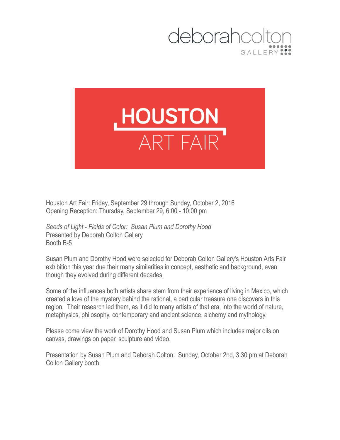



Houston Art Fair: Friday, September 29 through Sunday, October 2, 2016 Opening Reception: Thursday, September 29, 6:00 - 10:00 pm

*Seeds of Light - Fields of Color: Susan Plum and Dorothy Hood* Presented by Deborah Colton Gallery Booth B-5

Susan Plum and Dorothy Hood were selected for Deborah Colton Gallery's Houston Arts Fair exhibition this year due their many similarities in concept, aesthetic and background, even though they evolved during different decades.

Some of the influences both artists share stem from their experience of living in Mexico, which created a love of the mystery behind the rational, a particular treasure one discovers in this region. Their research led them, as it did to many artists of that era, into the world of nature, metaphysics, philosophy, contemporary and ancient science, alchemy and mythology.

Please come view the work of Dorothy Hood and Susan Plum which includes major oils on canvas, drawings on paper, sculpture and video.

Presentation by Susan Plum and Deborah Colton: Sunday, October 2nd, 3:30 pm at Deborah Colton Gallery booth.